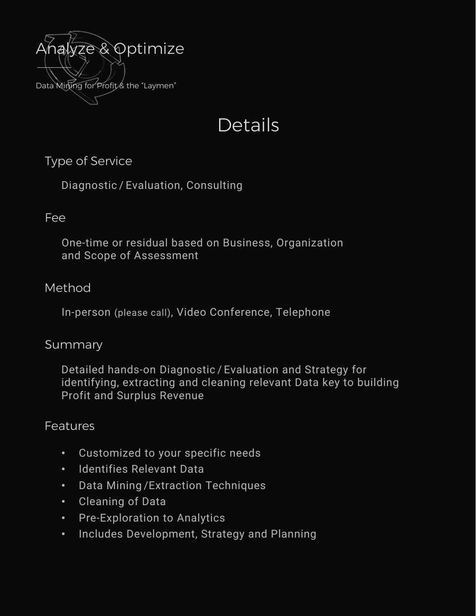

# **Details**

Type of Service

Diagnostic / Evaluation, Consulting

### Fee

One-time or residual based on Business, Organization and Scope of Assessment

## Method

In-person (please call), Video Conference, Telephone

#### Summary

Detailed hands-on Diagnostic / Evaluation and Strategy for identifying, extracting and cleaning relevant Data key to building Profit and Surplus Revenue

## **Features**

- Customized to your specific needs
- Identifies Relevant Data
- Data Mining /Extraction Techniques
- Cleaning of Data
- Pre-Exploration to Analytics
- Includes Development, Strategy and Planning